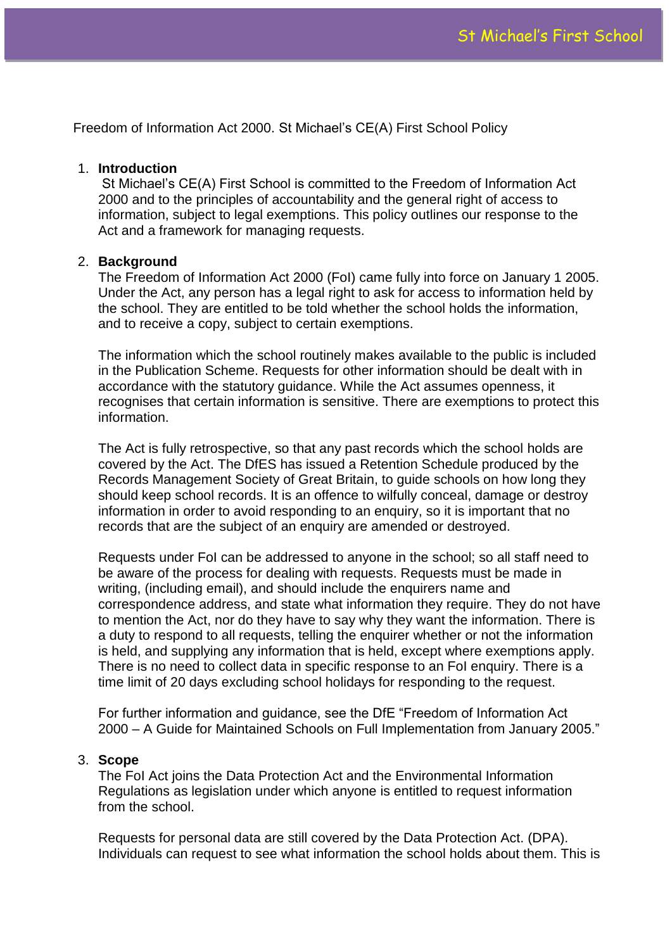Freedom of Information Act 2000. St Michael's CE(A) First School Policy

#### 1. **Introduction**

St Michael's CE(A) First School is committed to the Freedom of Information Act 2000 and to the principles of accountability and the general right of access to information, subject to legal exemptions. This policy outlines our response to the Act and a framework for managing requests.

# 2. **Background**

The Freedom of Information Act 2000 (FoI) came fully into force on January 1 2005. Under the Act, any person has a legal right to ask for access to information held by the school. They are entitled to be told whether the school holds the information, and to receive a copy, subject to certain exemptions.

The information which the school routinely makes available to the public is included in the Publication Scheme. Requests for other information should be dealt with in accordance with the statutory guidance. While the Act assumes openness, it recognises that certain information is sensitive. There are exemptions to protect this information.

The Act is fully retrospective, so that any past records which the school holds are covered by the Act. The DfES has issued a Retention Schedule produced by the Records Management Society of Great Britain, to guide schools on how long they should keep school records. It is an offence to wilfully conceal, damage or destroy information in order to avoid responding to an enquiry, so it is important that no records that are the subject of an enquiry are amended or destroyed.

Requests under FoI can be addressed to anyone in the school; so all staff need to be aware of the process for dealing with requests. Requests must be made in writing, (including email), and should include the enquirers name and correspondence address, and state what information they require. They do not have to mention the Act, nor do they have to say why they want the information. There is a duty to respond to all requests, telling the enquirer whether or not the information is held, and supplying any information that is held, except where exemptions apply. There is no need to collect data in specific response to an FoI enquiry. There is a time limit of 20 days excluding school holidays for responding to the request.

For further information and guidance, see the DfE "Freedom of Information Act 2000 – A Guide for Maintained Schools on Full Implementation from January 2005."

# 3. **Scope**

The FoI Act joins the Data Protection Act and the Environmental Information Regulations as legislation under which anyone is entitled to request information from the school.

Requests for personal data are still covered by the Data Protection Act. (DPA). Individuals can request to see what information the school holds about them. This is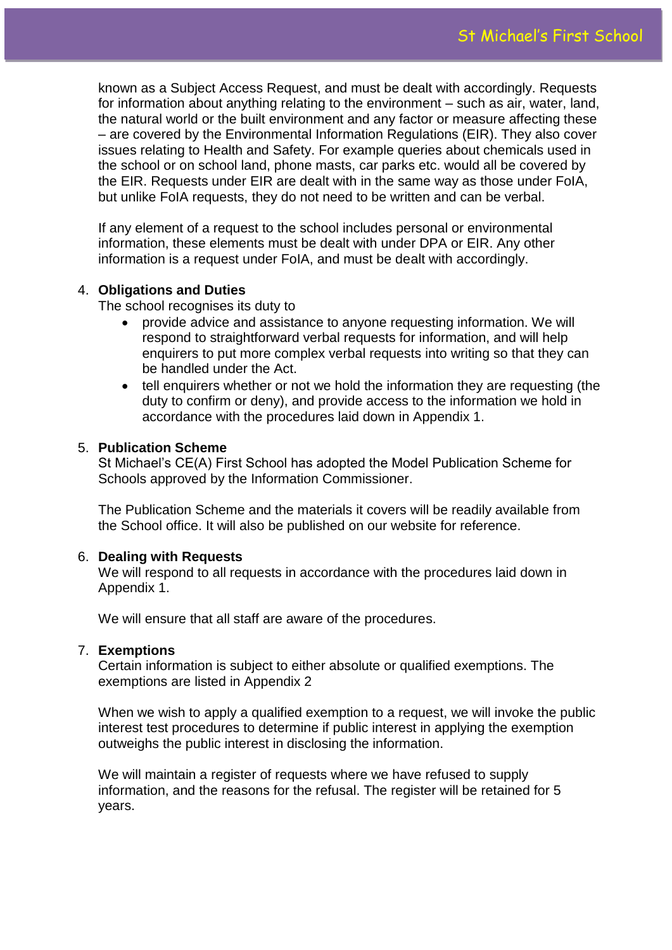known as a Subject Access Request, and must be dealt with accordingly. Requests for information about anything relating to the environment – such as air, water, land, the natural world or the built environment and any factor or measure affecting these – are covered by the Environmental Information Regulations (EIR). They also cover issues relating to Health and Safety. For example queries about chemicals used in the school or on school land, phone masts, car parks etc. would all be covered by the EIR. Requests under EIR are dealt with in the same way as those under FoIA, but unlike FoIA requests, they do not need to be written and can be verbal.

If any element of a request to the school includes personal or environmental information, these elements must be dealt with under DPA or EIR. Any other information is a request under FoIA, and must be dealt with accordingly.

# 4. **Obligations and Duties**

The school recognises its duty to

- provide advice and assistance to anyone requesting information. We will respond to straightforward verbal requests for information, and will help enquirers to put more complex verbal requests into writing so that they can be handled under the Act.
- tell enquirers whether or not we hold the information they are requesting (the duty to confirm or deny), and provide access to the information we hold in accordance with the procedures laid down in Appendix 1.

# 5. **Publication Scheme**

St Michael's CE(A) First School has adopted the Model Publication Scheme for Schools approved by the Information Commissioner.

The Publication Scheme and the materials it covers will be readily available from the School office. It will also be published on our website for reference.

# 6. **Dealing with Requests**

We will respond to all requests in accordance with the procedures laid down in Appendix 1.

We will ensure that all staff are aware of the procedures.

# 7. **Exemptions**

Certain information is subject to either absolute or qualified exemptions. The exemptions are listed in Appendix 2

When we wish to apply a qualified exemption to a request, we will invoke the public interest test procedures to determine if public interest in applying the exemption outweighs the public interest in disclosing the information.

We will maintain a register of requests where we have refused to supply information, and the reasons for the refusal. The register will be retained for 5 years.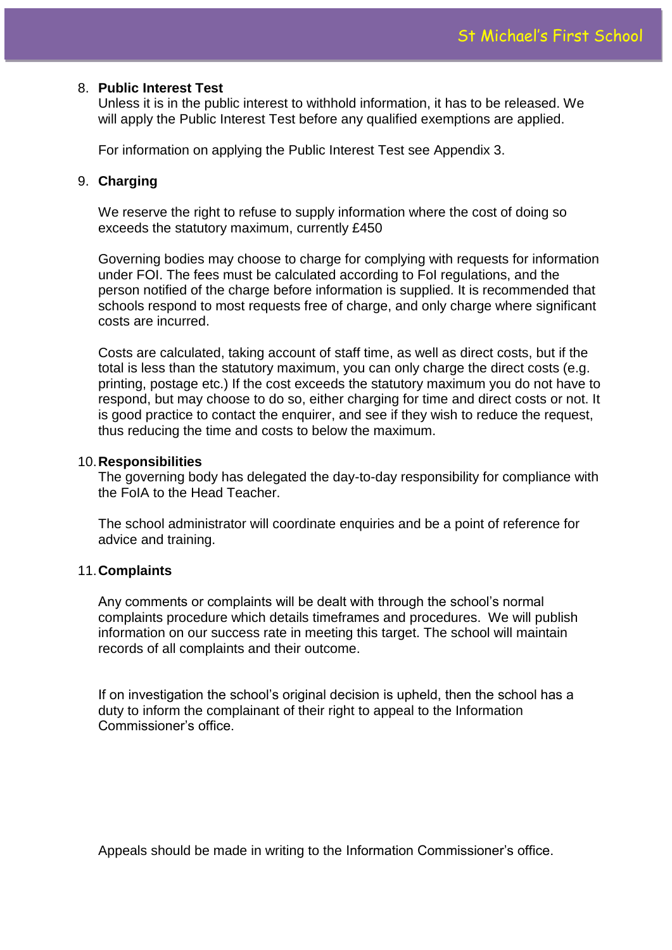# 8. **Public Interest Test**

Unless it is in the public interest to withhold information, it has to be released. We will apply the Public Interest Test before any qualified exemptions are applied.

For information on applying the Public Interest Test see Appendix 3.

# 9. **Charging**

We reserve the right to refuse to supply information where the cost of doing so exceeds the statutory maximum, currently £450

Governing bodies may choose to charge for complying with requests for information under FOI. The fees must be calculated according to FoI regulations, and the person notified of the charge before information is supplied. It is recommended that schools respond to most requests free of charge, and only charge where significant costs are incurred.

Costs are calculated, taking account of staff time, as well as direct costs, but if the total is less than the statutory maximum, you can only charge the direct costs (e.g. printing, postage etc.) If the cost exceeds the statutory maximum you do not have to respond, but may choose to do so, either charging for time and direct costs or not. It is good practice to contact the enquirer, and see if they wish to reduce the request, thus reducing the time and costs to below the maximum.

# 10.**Responsibilities**

The governing body has delegated the day-to-day responsibility for compliance with the FoIA to the Head Teacher.

The school administrator will coordinate enquiries and be a point of reference for advice and training.

# 11.**Complaints**

Any comments or complaints will be dealt with through the school's normal complaints procedure which details timeframes and procedures. We will publish information on our success rate in meeting this target. The school will maintain records of all complaints and their outcome.

If on investigation the school's original decision is upheld, then the school has a duty to inform the complainant of their right to appeal to the Information Commissioner's office.

Appeals should be made in writing to the Information Commissioner's office.